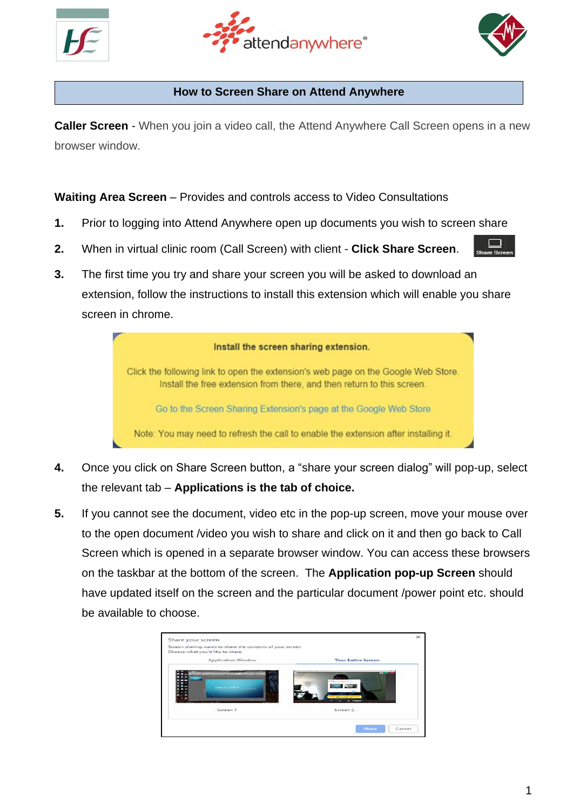





#### **How to Screen Share on Attend Anywhere**

**Caller Screen** - When you join a video call, the Attend Anywhere Call Screen opens in a new browser window.

**Waiting Area Screen** – Provides and controls access to Video Consultations

- **1.** Prior to logging into Attend Anywhere open up documents you wish to screen share
- **2.** When in virtual clinic room (Call Screen) with client **Click Share Screen**.
- **3.** The first time you try and share your screen you will be asked to download an extension, follow the instructions to install this extension which will enable you share screen in chrome.

| Install the screen sharing extension.                                                                                                                        |
|--------------------------------------------------------------------------------------------------------------------------------------------------------------|
| Click the following link to open the extension's web page on the Google Web Store.<br>Install the free extension from there, and then return to this screen. |
| Go to the Screen Sharing Extension's page at the Google Web Store                                                                                            |
| Note: You may need to refresh the call to enable the extension after installing it.                                                                          |

- **4.** Once you click on Share Screen button, a "share your screen dialog" will pop-up, select the relevant tab – **Applications is the tab of choice.**
- **5.** If you cannot see the document, video etc in the pop-up screen, move your mouse over to the open document /video you wish to share and click on it and then go back to Call Screen which is opened in a separate browser window. You can access these browsers on the taskbar at the bottom of the screen. The **Application pop-up Screen** should have updated itself on the screen and the particular document /power point etc. should be available to choose.

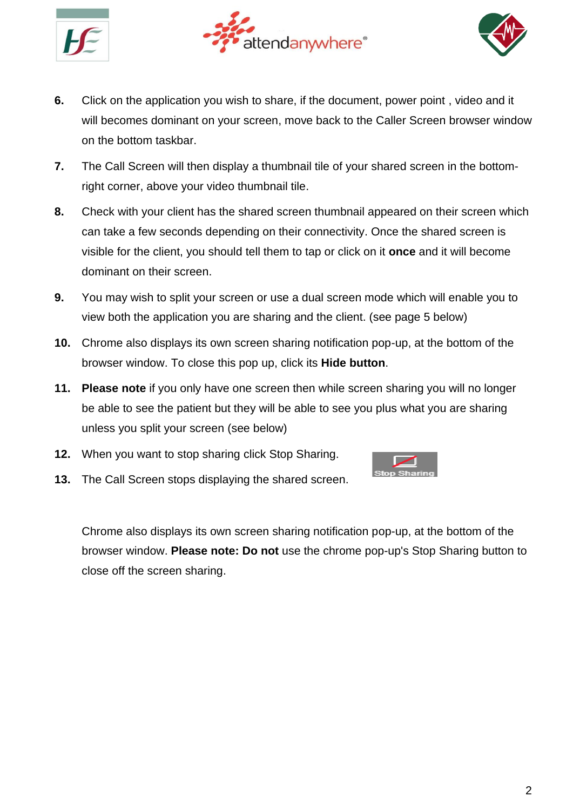





- **6.** Click on the application you wish to share, if the document, power point , video and it will becomes dominant on your screen, move back to the Caller Screen browser window on the bottom taskbar.
- **7.** The Call Screen will then display a thumbnail tile of your shared screen in the bottomright corner, above your video thumbnail tile.
- **8.** Check with your client has the shared screen thumbnail appeared on their screen which can take a few seconds depending on their connectivity. Once the shared screen is visible for the client, you should tell them to tap or click on it **once** and it will become dominant on their screen.
- **9.** You may wish to split your screen or use a dual screen mode which will enable you to view both the application you are sharing and the client. (see page 5 below)
- **10.** Chrome also displays its own screen sharing notification pop-up, at the bottom of the browser window. To close this pop up, click its **Hide button**.
- **11. Please note** if you only have one screen then while screen sharing you will no longer be able to see the patient but they will be able to see you plus what you are sharing unless you split your screen (see below)
- **12.** When you want to stop sharing click Stop Sharing.



**13.** The Call Screen stops displaying the shared screen.

Chrome also displays its own screen sharing notification pop-up, at the bottom of the browser window. **Please note: Do not** use the chrome pop-up's Stop Sharing button to close off the screen sharing.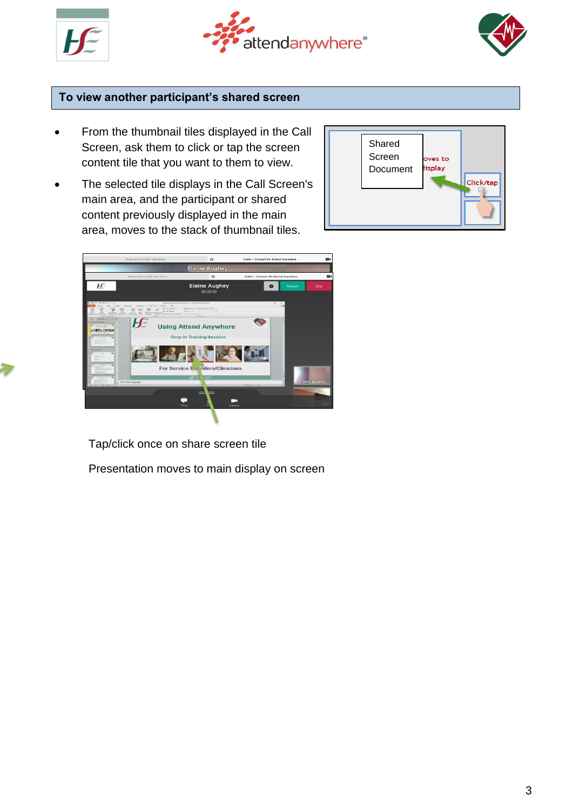





## **To view another participant's shared screen**

- From the thumbnail tiles displayed in the Call Screen, ask them to click or tap the screen content tile that you want to them to view.
- The selected tile displays in the Call Screen's main area, and the participant or shared content previously displayed in the main area, moves to the stack of thumbnail tiles.





Tap/click once on share screen tile

Presentation moves to main display on screen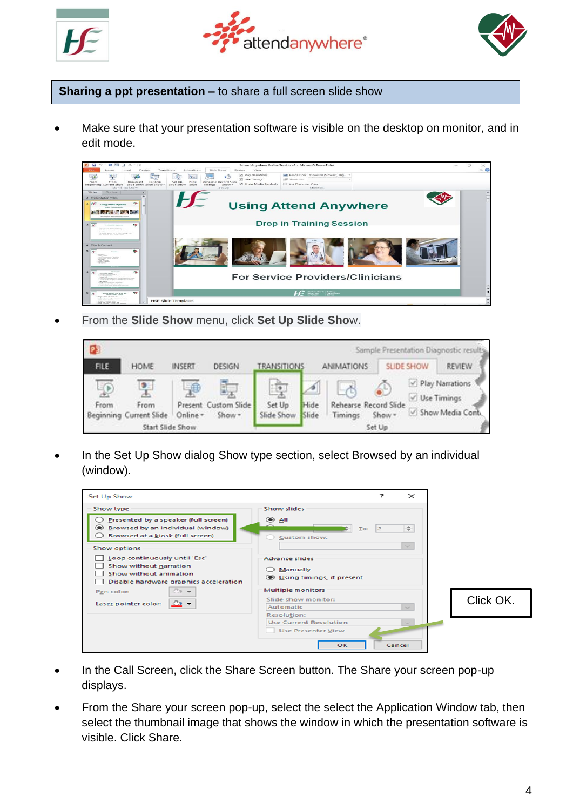





**Sharing a ppt presentation –** to share a full screen slide show

Make sure that your presentation software is visible on the desktop on monitor, and in edit mode.



• From the **Slide Show** menu, click **Set Up Slide Sho**w.



In the Set Up Show dialog Show type section, select Browsed by an individual (window).



- In the Call Screen, click the Share Screen button. The Share your screen pop-up displays.
- From the Share your screen pop-up, select the select the Application Window tab, then select the thumbnail image that shows the window in which the presentation software is visible. Click Share.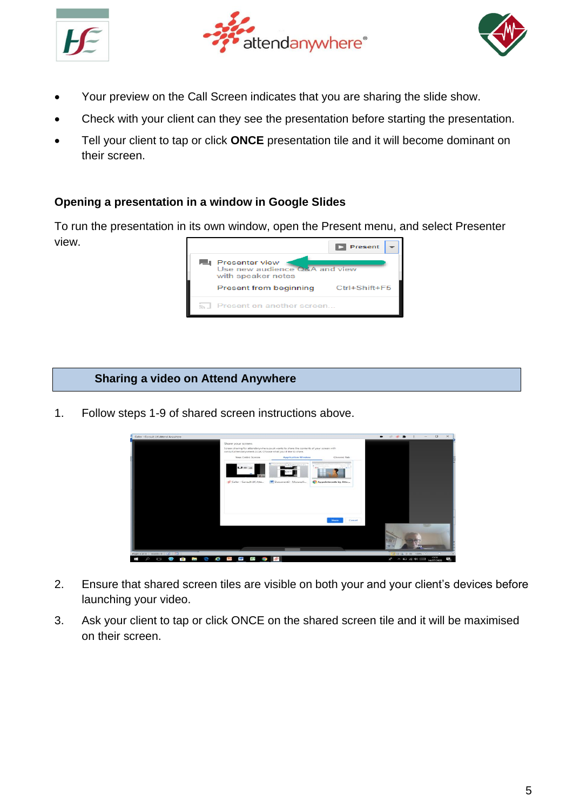





- Your preview on the Call Screen indicates that you are sharing the slide show.
- Check with your client can they see the presentation before starting the presentation.
- Tell your client to tap or click **ONCE** presentation tile and it will become dominant on their screen.

## **Opening a presentation in a window in Google Slides**

To run the presentation in its own window, open the Present menu, and select Presenter view.



## **Sharing a video on Attend Anywhere**

1. Follow steps 1-9 of shared screen instructions above.



- 2. Ensure that shared screen tiles are visible on both your and your client's devices before launching your video.
- 3. Ask your client to tap or click ONCE on the shared screen tile and it will be maximised on their screen.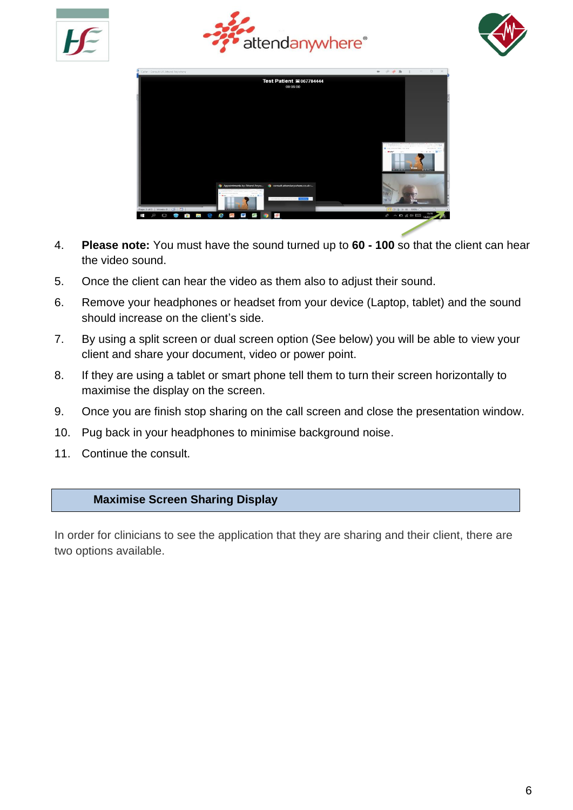







- 4. **Please note:** You must have the sound turned up to **60 - 100** so that the client can hear the video sound.
- 5. Once the client can hear the video as them also to adjust their sound.
- 6. Remove your headphones or headset from your device (Laptop, tablet) and the sound should increase on the client's side.
- 7. By using a split screen or dual screen option (See below) you will be able to view your client and share your document, video or power point.
- 8. If they are using a tablet or smart phone tell them to turn their screen horizontally to maximise the display on the screen.
- 9. Once you are finish stop sharing on the call screen and close the presentation window.
- 10. Pug back in your headphones to minimise background noise.
- 11. Continue the consult.

#### **Maximise Screen Sharing Display**

In order for clinicians to see the application that they are sharing and their client, there are two options available.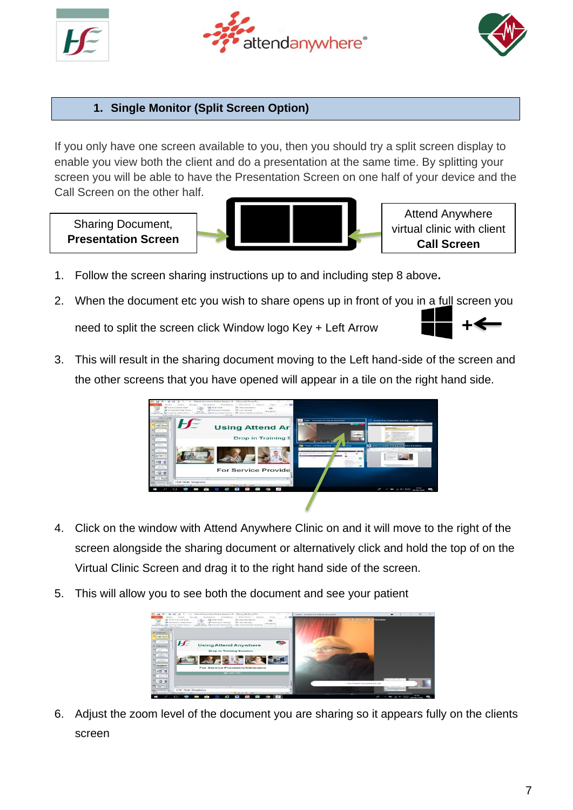





# **1. Single Monitor (Split Screen Option)**

If you only have one screen available to you, then you should try a split screen display to enable you view both the client and do a presentation at the same time. By splitting your screen you will be able to have the Presentation Screen on one half of your device and the Call Screen on the other half.

Sharing Document, **Presentation Screen**



Attend Anywhere virtual clinic with client **Call Screen**

- 1. Follow the screen sharing instructions up to and including step 8 above**.**
- 2. When the document etc you wish to share opens up in front of you in a full screen you need to split the screen click Window logo Key + Left Arrow
- 3. This will result in the sharing document moving to the Left hand-side of the screen and the other screens that you have opened will appear in a tile on the right hand side.



- 4. Click on the window with Attend Anywhere Clinic on and it will move to the right of the screen alongside the sharing document or alternatively click and hold the top of on the Virtual Clinic Screen and drag it to the right hand side of the screen.
- 5. This will allow you to see both the document and see your patient



6. Adjust the zoom level of the document you are sharing so it appears fully on the clients screen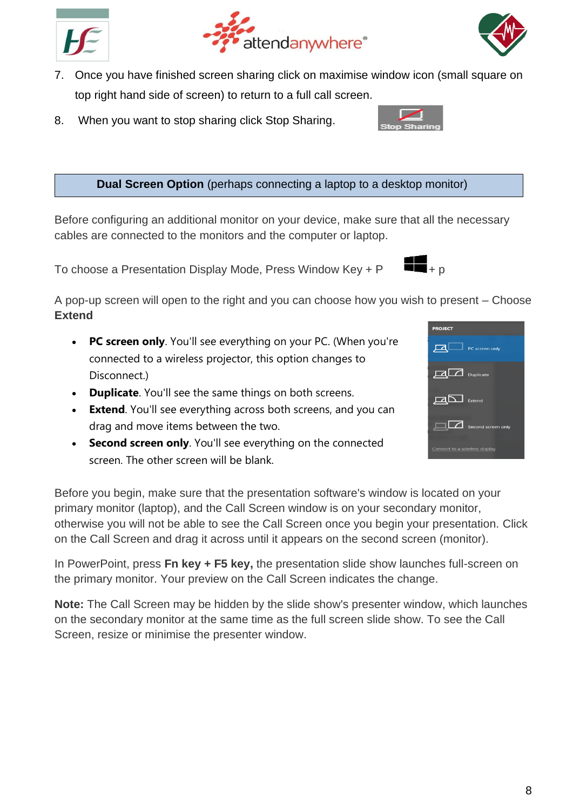



- 7. Once you have finished screen sharing click on maximise window icon (small square on top right hand side of screen) to return to a full call screen.
- 8. When you want to stop sharing click Stop Sharing.

**Dual Screen Option** (perhaps connecting a laptop to a desktop monitor)

Before configuring an additional monitor on your device, make sure that all the necessary cables are connected to the monitors and the computer or laptop.

To choose a Presentation Display Mode, Press Window Key +  $P$ 

A pop-up screen will open to the right and you can choose how you wish to present – Choose **Extend**

- **PC screen only**. You'll see everything on your PC. (When you're connected to a wireless projector, this option changes to Disconnect.)
- **Duplicate**. You'll see the same things on both screens.
- **Extend**. You'll see everything across both screens, and you can drag and move items between the two.
- **Second screen only**. You'll see everything on the connected screen. The other screen will be blank.

Before you begin, make sure that the presentation software's window is located on your primary monitor (laptop), and the Call Screen window is on your secondary monitor, otherwise you will not be able to see the Call Screen once you begin your presentation. Click on the Call Screen and drag it across until it appears on the second screen (monitor).

In PowerPoint, press **Fn key + F5 key,** the presentation slide show launches full-screen on the primary monitor. Your preview on the Call Screen indicates the change.

**Note:** The Call Screen may be hidden by the slide show's presenter window, which launches on the secondary monitor at the same time as the full screen slide show. To see the Call Screen, resize or minimise the presenter window.